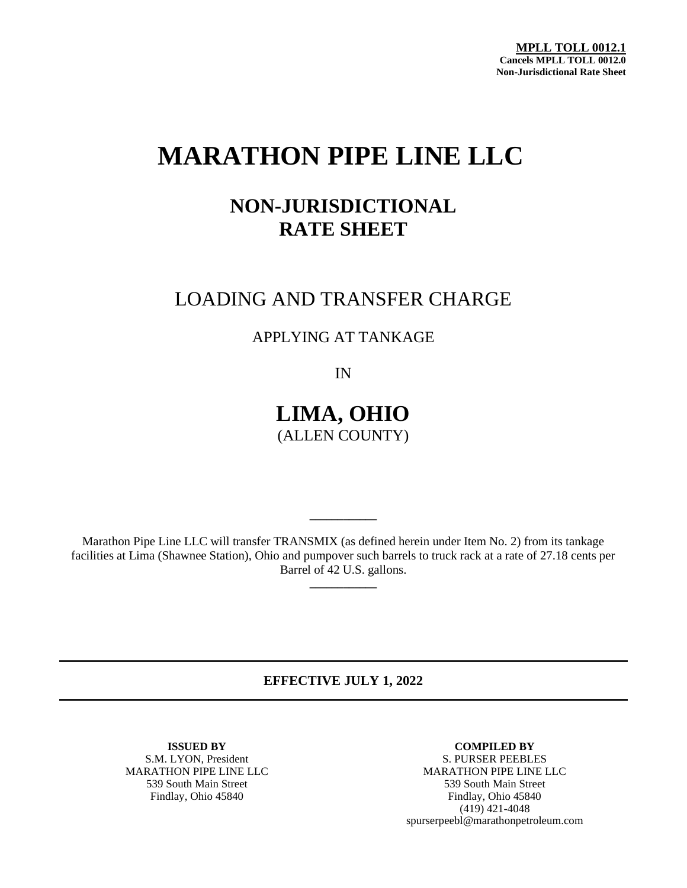**MPLL TOLL 0012.1 Cancels MPLL TOLL 0012.0 Non-Jurisdictional Rate Sheet**

# **MARATHON PIPE LINE LLC**

## **NON-JURISDICTIONAL RATE SHEET**

### LOADING AND TRANSFER CHARGE

APPLYING AT TANKAGE

IN

**LIMA, OHIO** (ALLEN COUNTY)

Marathon Pipe Line LLC will transfer TRANSMIX (as defined herein under Item No. 2) from its tankage facilities at Lima (Shawnee Station), Ohio and pumpover such barrels to truck rack at a rate of 27.18 cents per Barrel of 42 U.S. gallons. **\_\_\_\_\_\_\_\_\_\_\_\_**

**\_\_\_\_\_\_\_\_\_\_\_\_**

**EFFECTIVE JULY 1, 2022**

S.M. LYON, President<br>MARATHON PIPE LINE LLC

**ISSUED BY COMPILED BY**<br> **COMPILED BY**<br> **COMPILED BY**<br> **COMPILED BY** MARATHON PIPE LINE LLC MARATHON PIPE LINE LLC 539 South Main Street 539 South Main Street Findlay, Ohio 45840 Findlay, Ohio 45840 (419) 421-4048 spurserpeebl@marathonpetroleum.com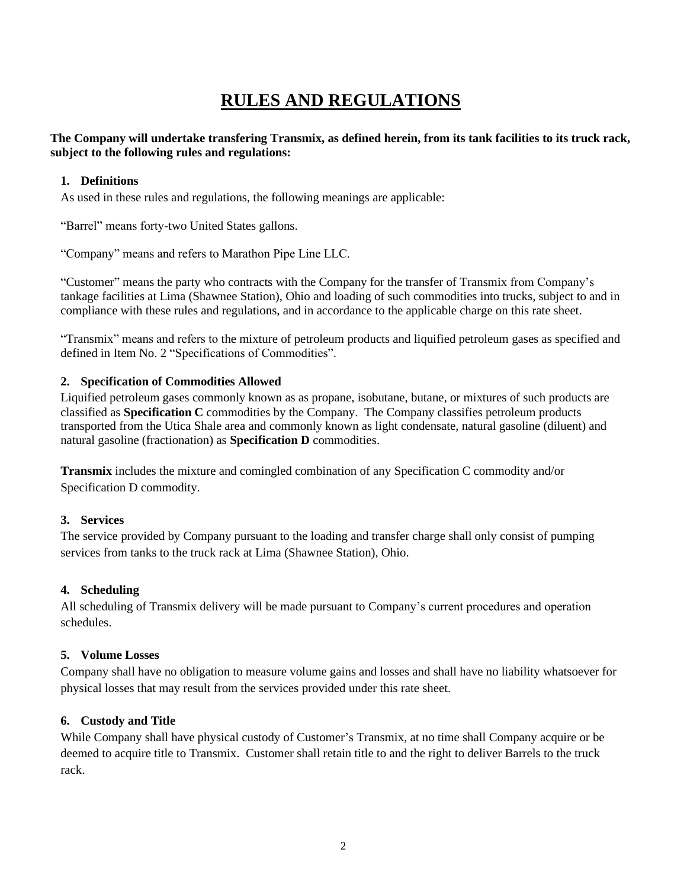### **RULES AND REGULATIONS**

#### **The Company will undertake transfering Transmix, as defined herein, from its tank facilities to its truck rack, subject to the following rules and regulations:**

#### **1. Definitions**

As used in these rules and regulations, the following meanings are applicable:

"Barrel" means forty-two United States gallons.

"Company" means and refers to Marathon Pipe Line LLC.

"Customer" means the party who contracts with the Company for the transfer of Transmix from Company's tankage facilities at Lima (Shawnee Station), Ohio and loading of such commodities into trucks, subject to and in compliance with these rules and regulations, and in accordance to the applicable charge on this rate sheet.

"Transmix" means and refers to the mixture of petroleum products and liquified petroleum gases as specified and defined in Item No. 2 "Specifications of Commodities".

#### **2. Specification of Commodities Allowed**

Liquified petroleum gases commonly known as as propane, isobutane, butane, or mixtures of such products are classified as **Specification C** commodities by the Company. The Company classifies petroleum products transported from the Utica Shale area and commonly known as light condensate, natural gasoline (diluent) and natural gasoline (fractionation) as **Specification D** commodities.

**Transmix** includes the mixture and comingled combination of any Specification C commodity and/or Specification D commodity.

#### **3. Services**

The service provided by Company pursuant to the loading and transfer charge shall only consist of pumping services from tanks to the truck rack at Lima (Shawnee Station), Ohio.

#### **4. Scheduling**

All scheduling of Transmix delivery will be made pursuant to Company's current procedures and operation schedules.

#### **5. Volume Losses**

Company shall have no obligation to measure volume gains and losses and shall have no liability whatsoever for physical losses that may result from the services provided under this rate sheet.

#### **6. Custody and Title**

While Company shall have physical custody of Customer's Transmix, at no time shall Company acquire or be deemed to acquire title to Transmix. Customer shall retain title to and the right to deliver Barrels to the truck rack.